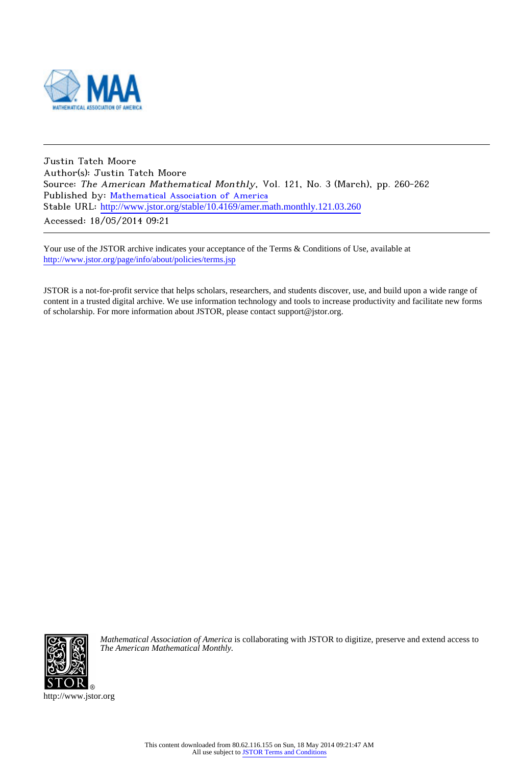

Justin Tatch Moore Author(s): Justin Tatch Moore Source: The American Mathematical Monthly, Vol. 121, No. 3 (March), pp. 260-262 Published by: [Mathematical Association of America](http://www.jstor.org/action/showPublisher?publisherCode=maa) Stable URL: [http://www.jstor.org/stable/10.4169/amer.math.monthly.121.03.260](http://www.jstor.org/stable/10.4169/amer.math.monthly.121.03.260?origin=JSTOR-pdf) . Accessed: 18/05/2014 09:21

Your use of the JSTOR archive indicates your acceptance of the Terms & Conditions of Use, available at <http://www.jstor.org/page/info/about/policies/terms.jsp>

JSTOR is a not-for-profit service that helps scholars, researchers, and students discover, use, and build upon a wide range of content in a trusted digital archive. We use information technology and tools to increase productivity and facilitate new forms of scholarship. For more information about JSTOR, please contact support@jstor.org.



*Mathematical Association of America* is collaborating with JSTOR to digitize, preserve and extend access to *The American Mathematical Monthly.*

http://www.jstor.org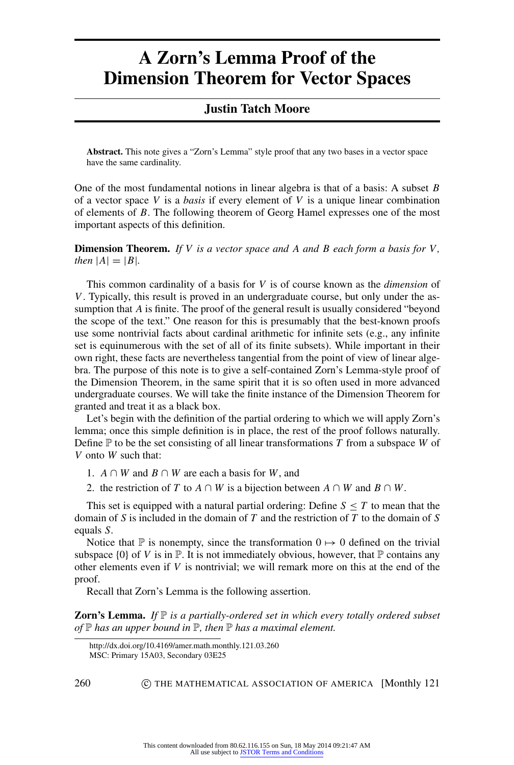## **A Zorn's Lemma Proof of the Dimension Theorem for Vector Spaces**

## **Justin Tatch Moore**

**Abstract.** This note gives a "Zorn's Lemma" style proof that any two bases in a vector space have the same cardinality.

One of the most fundamental notions in linear algebra is that of a basis: A subset *B* of a vector space *V* is a *basis* if every element of *V* is a unique linear combination of elements of *B*. The following theorem of Georg Hamel expresses one of the most important aspects of this definition.

**Dimension Theorem.** *If V is a vector space and A and B each form a basis for V , then*  $|A| = |B|$ *.* 

This common cardinality of a basis for *V* is of course known as the *dimension* of *V*. Typically, this result is proved in an undergraduate course, but only under the assumption that *A* is finite. The proof of the general result is usually considered "beyond the scope of the text." One reason for this is presumably that the best-known proofs use some nontrivial facts about cardinal arithmetic for infinite sets (e.g., any infinite set is equinumerous with the set of all of its finite subsets). While important in their own right, these facts are nevertheless tangential from the point of view of linear algebra. The purpose of this note is to give a self-contained Zorn's Lemma-style proof of the Dimension Theorem, in the same spirit that it is so often used in more advanced undergraduate courses. We will take the finite instance of the Dimension Theorem for granted and treat it as a black box.

Let's begin with the definition of the partial ordering to which we will apply Zorn's lemma; once this simple definition is in place, the rest of the proof follows naturally. Define P to be the set consisting of all linear transformations *T* from a subspace *W* of *V* onto *W* such that:

1.  $A \cap W$  and  $B \cap W$  are each a basis for *W*, and

2. the restriction of *T* to *A* ∩ *W* is a bijection between *A* ∩ *W* and *B* ∩ *W*.

This set is equipped with a natural partial ordering: Define  $S \leq T$  to mean that the domain of *S* is included in the domain of *T* and the restriction of *T* to the domain of *S* equals *S*.

Notice that  $\mathbb P$  is nonempty, since the transformation  $0 \mapsto 0$  defined on the trivial subspace  $\{0\}$  of V is in  $\mathbb{P}$ . It is not immediately obvious, however, that  $\mathbb{P}$  contains any other elements even if *V* is nontrivial; we will remark more on this at the end of the proof.

Recall that Zorn's Lemma is the following assertion.

**Zorn's Lemma.** If  $\mathbb P$  *is a partially-ordered set in which every totally ordered subset of* P *has an upper bound in* P*, then* P *has a maximal element.*

260 **C THE MATHEMATICAL ASSOCIATION OF AMERICA** [Monthly 121]

http://dx.doi.org/10.4169/amer.math.monthly.121.03.260 MSC: Primary 15A03, Secondary 03E25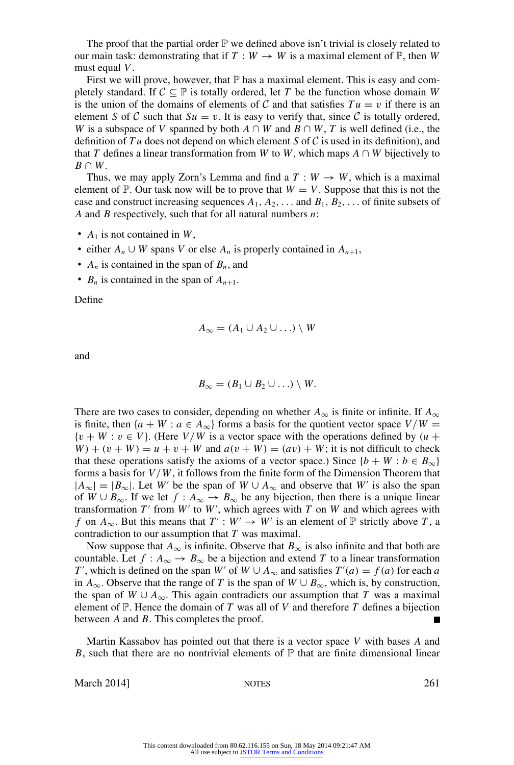The proof that the partial order  $\mathbb P$  we defined above isn't trivial is closely related to our main task: demonstrating that if  $T : W \to W$  is a maximal element of  $\mathbb{P}$ , then *W* must equal *V*.

First we will prove, however, that  $\mathbb P$  has a maximal element. This is easy and completely standard. If  $C \subseteq \mathbb{P}$  is totally ordered, let *T* be the function whose domain *W* is the union of the domains of elements of C and that satisfies  $Tu = v$  if there is an element *S* of *C* such that  $Su = v$ . It is easy to verify that, since *C* is totally ordered, *W* is a subspace of *V* spanned by both  $A \cap W$  and  $B \cap W$ , *T* is well defined (i.e., the definition of *T u* does not depend on which element *S* of C is used in its definition), and that *T* defines a linear transformation from *W* to *W*, which maps  $A \cap W$  bijectively to  $B \cap W$ .

Thus, we may apply Zorn's Lemma and find a  $T : W \to W$ , which is a maximal element of  $\mathbb{P}$ . Our task now will be to prove that  $W = V$ . Suppose that this is not the case and construct increasing sequences  $A_1, A_2, \ldots$  and  $B_1, B_2, \ldots$  of finite subsets of *A* and *B* respectively, such that for all natural numbers *n*:

- $A_1$  is not contained in W,
- either  $A_n \cup W$  spans *V* or else  $A_n$  is properly contained in  $A_{n+1}$ ,
- $A_n$  is contained in the span of  $B_n$ , and
- $B_n$  is contained in the span of  $A_{n+1}$ .

Define

$$
A_{\infty} = (A_1 \cup A_2 \cup \ldots) \setminus W
$$

and

$$
B_{\infty}=(B_1\cup B_2\cup\ldots)\setminus W.
$$

There are two cases to consider, depending on whether  $A_{\infty}$  is finite or infinite. If  $A_{\infty}$ is finite, then  $\{a + W : a \in A_{\infty}\}\$ forms a basis for the quotient vector space  $V/W =$  $\{v + W : v \in V\}$ . (Here *V/W* is a vector space with the operations defined by  $(u +$  $W$  + ( $v$  +  $W$ ) =  $u$  +  $v$  +  $W$  and  $a(v + W) = (av) + W$ ; it is not difficult to check that these operations satisfy the axioms of a vector space.) Since  ${b + W : b \in B_{\infty}}$ forms a basis for *V*/*W*, it follows from the finite form of the Dimension Theorem that  $|A_{\infty}| = |B_{\infty}|$ . Let *W'* be the span of  $W \cup A_{\infty}$  and observe that *W'* is also the span of *W* ∪  $B_{\infty}$ . If we let  $f : A_{\infty} \to B_{\infty}$  be any bijection, then there is a unique linear transformation  $T'$  from  $W'$  to  $W'$ , which agrees with  $T$  on  $W$  and which agrees with *f* on  $A_{\infty}$ . But this means that  $T' : W' \to W'$  is an element of  $\mathbb P$  strictly above *T*, a contradiction to our assumption that *T* was maximal.

Now suppose that  $A_{\infty}$  is infinite. Observe that  $B_{\infty}$  is also infinite and that both are countable. Let  $f : A_{\infty} \to B_{\infty}$  be a bijection and extend *T* to a linear transformation *T*<sup>*T*</sup>, which is defined on the span *W*<sup>*'*</sup> of *W* ∪ *A*<sub>∞</sub> and satisfies  $T'(a) = f(a)$  for each *a* in  $A_{\infty}$ . Observe that the range of *T* is the span of  $W \cup B_{\infty}$ , which is, by construction, the span of  $W \cup A_{\infty}$ . This again contradicts our assumption that *T* was a maximal element of  $\mathbb{P}$ . Hence the domain of *T* was all of *V* and therefore *T* defines a bijection between *A* and *B*. This completes the proof.

Martin Kassabov has pointed out that there is a vector space *V* with bases *A* and *B*, such that there are no nontrivial elements of  $\mathbb P$  that are finite dimensional linear

March 2014] NOTES 261